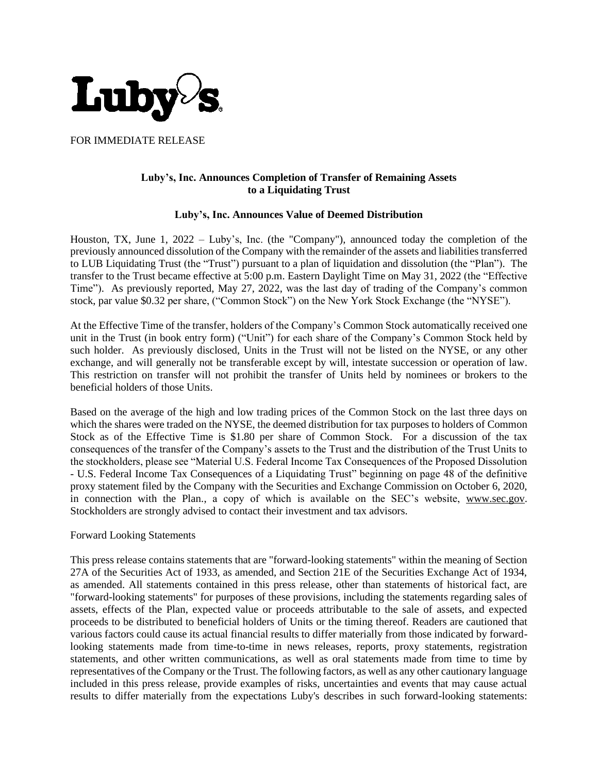

FOR IMMEDIATE RELEASE

## **Luby's, Inc. Announces Completion of Transfer of Remaining Assets to a Liquidating Trust**

## **Luby's, Inc. Announces Value of Deemed Distribution**

Houston, TX, June 1, 2022 – Luby's, Inc. (the "Company"), announced today the completion of the previously announced dissolution of the Company with the remainder of the assets and liabilities transferred to LUB Liquidating Trust (the "Trust") pursuant to a plan of liquidation and dissolution (the "Plan"). The transfer to the Trust became effective at 5:00 p.m. Eastern Daylight Time on May 31, 2022 (the "Effective Time"). As previously reported, May 27, 2022, was the last day of trading of the Company's common stock, par value \$0.32 per share, ("Common Stock") on the New York Stock Exchange (the "NYSE").

At the Effective Time of the transfer, holders of the Company's Common Stock automatically received one unit in the Trust (in book entry form) ("Unit") for each share of the Company's Common Stock held by such holder. As previously disclosed, Units in the Trust will not be listed on the NYSE, or any other exchange, and will generally not be transferable except by will, intestate succession or operation of law. This restriction on transfer will not prohibit the transfer of Units held by nominees or brokers to the beneficial holders of those Units.

Based on the average of the high and low trading prices of the Common Stock on the last three days on which the shares were traded on the NYSE, the deemed distribution for tax purposes to holders of Common Stock as of the Effective Time is \$1.80 per share of Common Stock. For a discussion of the tax consequences of the transfer of the Company's assets to the Trust and the distribution of the Trust Units to the stockholders, please see "Material U.S. Federal Income Tax Consequences of the Proposed Dissolution - U.S. Federal Income Tax Consequences of a Liquidating Trust" beginning on page 48 of the definitive proxy statement filed by the Company with the Securities and Exchange Commission on October 6, 2020, in connection with the Plan., a copy of which is available on the SEC's website, [www.sec.gov.](http://www.sec.gov/) Stockholders are strongly advised to contact their investment and tax advisors.

## Forward Looking Statements

This press release contains statements that are "forward-looking statements" within the meaning of Section 27A of the Securities Act of 1933, as amended, and Section 21E of the Securities Exchange Act of 1934, as amended. All statements contained in this press release, other than statements of historical fact, are "forward-looking statements" for purposes of these provisions, including the statements regarding sales of assets, effects of the Plan, expected value or proceeds attributable to the sale of assets, and expected proceeds to be distributed to beneficial holders of Units or the timing thereof. Readers are cautioned that various factors could cause its actual financial results to differ materially from those indicated by forwardlooking statements made from time-to-time in news releases, reports, proxy statements, registration statements, and other written communications, as well as oral statements made from time to time by representatives of the Company or the Trust. The following factors, as well as any other cautionary language included in this press release, provide examples of risks, uncertainties and events that may cause actual results to differ materially from the expectations Luby's describes in such forward-looking statements: